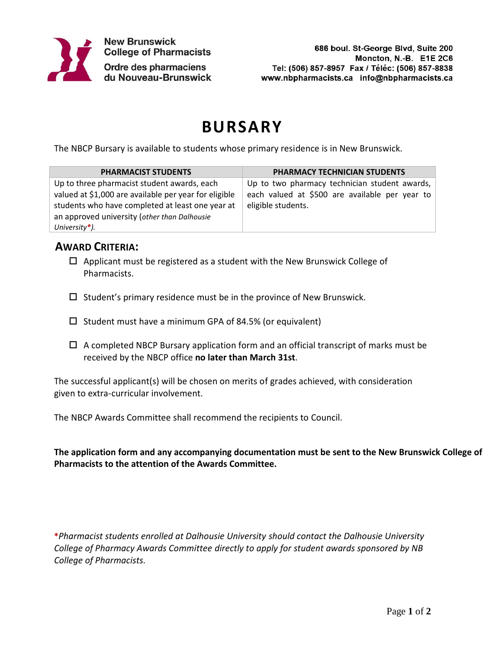

## **BURSARY**

The NBCP Bursary is available to students whose primary residence is in New Brunswick.

| <b>PHARMACIST STUDENTS</b>                            | PHARMACY TECHNICIAN STUDENTS                   |
|-------------------------------------------------------|------------------------------------------------|
| Up to three pharmacist student awards, each           | Up to two pharmacy technician student awards,  |
| valued at \$1,000 are available per year for eligible | each valued at \$500 are available per year to |
| students who have completed at least one year at      | eligible students.                             |
| an approved university (other than Dalhousie          |                                                |
| University*).                                         |                                                |

## **AWARD CRITERIA:**

- $\Box$  Applicant must be registered as a student with the New Brunswick College of Pharmacists.
- $\square$  Student's primary residence must be in the province of New Brunswick.
- $\square$  Student must have a minimum GPA of 84.5% (or equivalent)
- $\Box$  A completed NBCP Bursary application form and an official transcript of marks must be received by the NBCP office **no later than March 31st**.

The successful applicant(s) will be chosen on merits of grades achieved, with consideration given to extra-curricular involvement.

The NBCP Awards Committee shall recommend the recipients to Council.

**The application form and any accompanying documentation must be sent to the New Brunswick College of Pharmacists to the attention of the Awards Committee.**

**\****Pharmacist students enrolled at Dalhousie University should contact the Dalhousie University College of Pharmacy Awards Committee directly to apply for student awards sponsored by NB College of Pharmacists.*